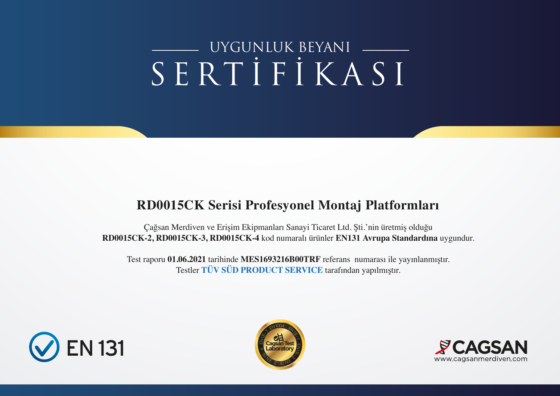# SERTİFİKASI UYGUNLUK BEYANI

## **RD0015CK Serisi Profesyonel Montaj Platformları**

Çağsan Merdiven ve Erişim Ekipmanları Sanayi Ticaret Ltd. Şti.'nin üretmiş olduğu **RD0015CK-2, RD0015CK-3, RD0015CK-4** kod numaralı ürünler **EN131 Avrupa Standardına** uygundur.

Test raporu **01.06.2021** tarihinde **MES1693216B00TRF** referans numarası ile yayınlanmıştır. Testler **TÜV SÜD PRODUCT SERVICE** tarafından yapılmıştır.





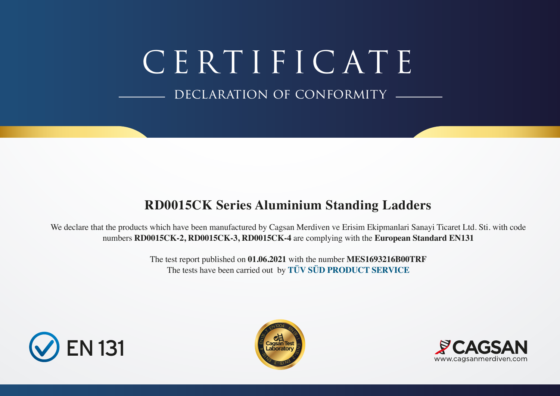CERTIFICATE

DECLARATION OF CONFORMITY

# **RD0015CK Series Aluminium Standing Ladders**

We declare that the products which have been manufactured by Cagsan Merdiven ve Erisim Ekipmanlari Sanayi Ticaret Ltd. Sti. with code numbers **RD0015CK-2, RD0015CK-3, RD0015CK-4** are complying with the **European Standard EN131**

> The test report published on **01.06.2021** with the number **MES1693216B00TRF** The tests have been carried out by **TÜV SÜD PRODUCT SERVICE**





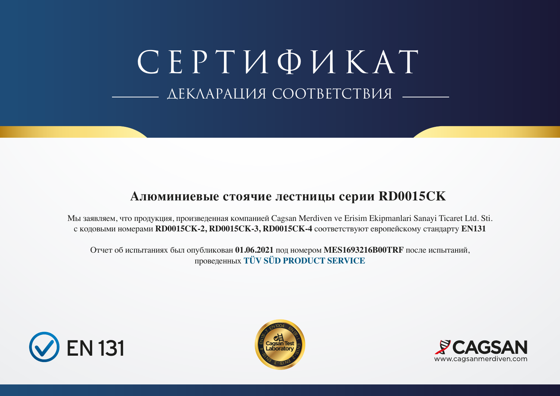СЕРТИФИКАТ ДЕКЛАРАЦИЯ СООТВЕТСТВИЯ

#### **Алюминиевые стоячие лестницы серии RD0015CK**

Мы заявляем, что продукция, произведенная компанией Cagsan Merdiven ve Erisim Ekipmanlari Sanayi Ticaret Ltd. Sti. с кодовыми номерами **RD0015CK-2, RD0015CK-3, RD0015CK-4** соответствуют европейскому стандарту **EN131**

Отчет об испытаниях был опубликован **01.06.2021** под номером **MES1693216B00TRF** после испытаний, проведенных **TÜV SÜD PRODUCT SERVICE**





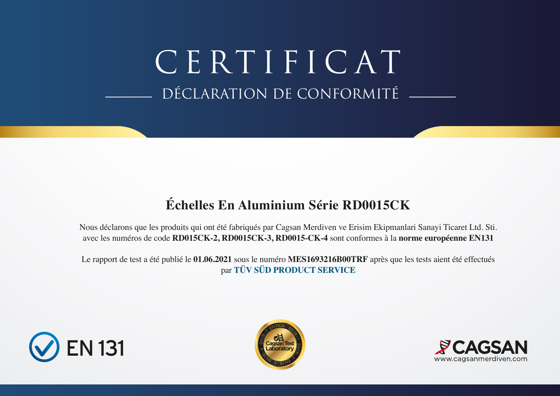DÉCLARATION DE CONFORMITÉ CERTIFICAT

# **Échelles En Aluminium Série RD0015CK**

Nous déclarons que les produits qui ont été fabriqués par Cagsan Merdiven ve Erisim Ekipmanlari Sanayi Ticaret Ltd. Sti. avec les numéros de code **RD015CK-2, RD0015CK-3, RD0015-CK-4** sont conformes à la **norme européenne EN131**

Le rapport de test a été publié le **01.06.2021** sous le numéro **MES1693216B00TRF** après que les tests aient été effectués par **TÜV SÜD PRODUCT SERVICE**





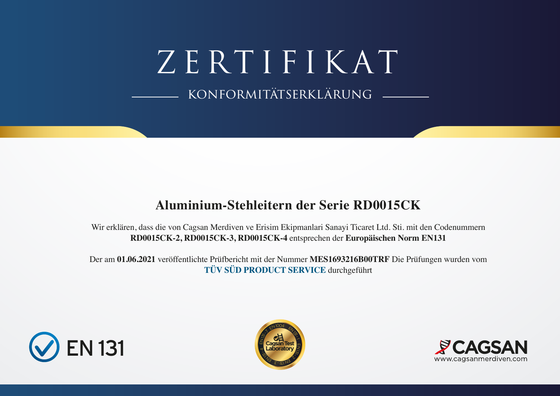ZERTIFIKAT konformitätserklärung

## **Aluminium-Stehleitern der Serie RD0015CK**

Wir erklären, dass die von Cagsan Merdiven ve Erisim Ekipmanlari Sanayi Ticaret Ltd. Sti. mit den Codenummern **RD0015CK-2, RD0015CK-3, RD0015CK-4** entsprechen der **Europäischen Norm EN131**

Der am **01.06.2021** veröffentlichte Prüfbericht mit der Nummer **MES1693216B00TRF** Die Prüfungen wurden vom **TÜV SÜD PRODUCT SERVICE** durchgeführt